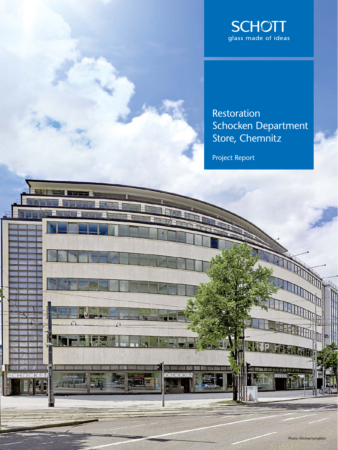

Restoration Schocken Department Store, Chemnitz

Project Report

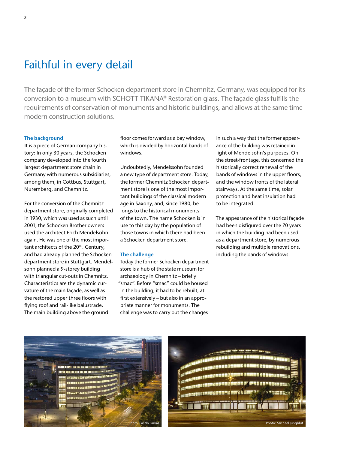# Faithful in every detail

The façade of the former Schocken department store in Chemnitz, Germany, was equipped for its conversion to a museum with SCHOTT TIKANA® Restoration glass. The façade glass fulfills the requirements of conservation of monuments and historic buildings, and allows at the same time modern construction solutions.

# **The background**

It is a piece of German company history: In only 30 years, the Schocken company developed into the fourth largest department store chain in Germany with numerous subsidiaries, among them, in Cottbus, Stuttgart, Nuremberg, and Chemnitz.

For the conversion of the Chemnitz department store, originally completed in 1930, which was used as such until 2001, the Schocken Brother owners used the architect Erich Mendelsohn again. He was one of the most important architects of the 20<sup>th</sup>. Century, and had already planned the Schocken department store in Stuttgart. Mendelsohn planned a 9-storey building with triangular cut-outs in Chemnitz. Characteristics are the dynamic curvature of the main façade, as well as the restored upper three floors with flying roof and rail-like balustrade. The main building above the ground

floor comes forward as a bay window, which is divided by horizontal bands of windows.

Undoubtedly, Mendelssohn founded a new type of department store. Today, the former Chemnitz Schocken department store is one of the most important buildings of the classical modern age in Saxony, and, since 1980, belongs to the historical monuments of the town. The name Schocken is in use to this day by the population of those towns in which there had been a Schocken department store.

### **The challenge**

Today the former Schocken department store is a hub of the state museum for archaeology in Chemnitz – briefly "smac". Before "smac" could be housed in the building, it had to be rebuilt, at first extensively – but also in an appropriate manner for monuments. The challenge was to carry out the changes

in such a way that the former appearance of the building was retained in light of Mendelsohn's purposes. On the street-frontage, this concerned the historically correct renewal of the bands of windows in the upper floors, and the window fronts of the lateral stairways. At the same time, solar protection and heat insulation had to be integrated.

The appearance of the historical façade had been disfigured over the 70 years in which the building had been used as a department store, by numerous rebuilding and multiple renovations, including the bands of windows.



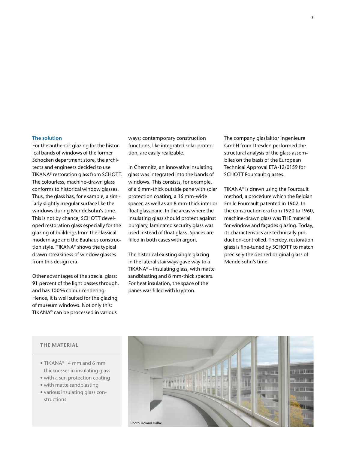## **The solution**

For the authentic glazing for the historical bands of windows of the former Schocken department store, the architects and engineers decided to use TIKANA® restoration glass from SCHOTT. The colourless, machine-drawn glass conforms to historical window glasses. Thus, the glass has, for example, a similarly slightly irregular surface like the windows during Mendelsohn's time. This is not by chance; SCHOTT developed restoration glass especially for the glazing of buildings from the classical modern age and the Bauhaus construction style. TIKANA® shows the typical drawn streakiness of window glasses from this design era.

Other advantages of the special glass: 91 percent of the light passes through, and has 100% colour-rendering. Hence, it is well suited for the glazing of museum windows. Not only this: TIKANA® can be processed in various

ways; contemporary construction functions, like integrated solar protection, are easily realizable.

In Chemnitz, an innovative insulating glass was integrated into the bands of windows. This consists, for example, of a 6 mm-thick outside pane with solar protection coating, a 16 mm-wide spacer, as well as an 8 mm-thick interior float glass pane. In the areas where the insulating glass should protect against burglary, laminated security glass was used instead of float glass. Spaces are filled in both cases with argon.

The historical existing single glazing in the lateral stairways gave way to a TIKANA® – insulating glass, with matte sandblasting and 8 mm-thick spacers. For heat insulation, the space of the panes was filled with krypton.

The company glasfaktor Ingenieure GmbH from Dresden performed the structural analysis of the glass assemblies on the basis of the European Technical Approval ETA-12/0159 for SCHOTT Fourcault glasses.

TIKANA® is drawn using the Fourcault method, a procedure which the Belgian Emile Fourcault patented in 1902. In the construction era from 1920 to 1960, machine-drawn glass was THE material for window and façades glazing. Today, its characteristics are technically production-controlled. Thereby, restoration glass is fine-tuned by SCHOTT to match precisely the desired original glass of Mendelsohn's time.

### **THE MATERIAL**

- TIKANA® | 4 mm and 6 mm thicknesses in insulating glass
- with a sun protection coating
- with matte sandblasting
- various insulating glass constructions